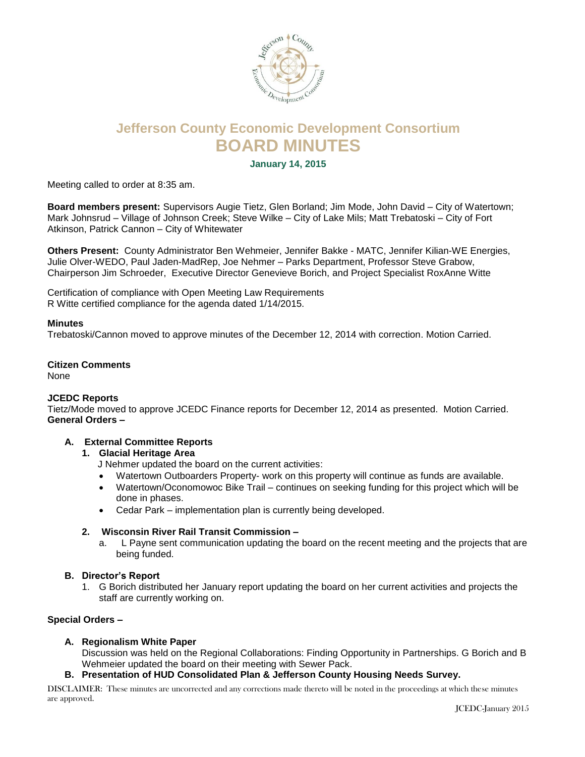

# **Jefferson County Economic Development Consortium BOARD MINUTES**

**January 14, 2015**

Meeting called to order at 8:35 am.

**Board members present:** Supervisors Augie Tietz, Glen Borland; Jim Mode, John David – City of Watertown; Mark Johnsrud – Village of Johnson Creek; Steve Wilke – City of Lake Mils; Matt Trebatoski – City of Fort Atkinson, Patrick Cannon – City of Whitewater

**Others Present:** County Administrator Ben Wehmeier, Jennifer Bakke - MATC, Jennifer Kilian-WE Energies, Julie Olver-WEDO, Paul Jaden-MadRep, Joe Nehmer – Parks Department, Professor Steve Grabow, Chairperson Jim Schroeder, Executive Director Genevieve Borich, and Project Specialist RoxAnne Witte

Certification of compliance with Open Meeting Law Requirements R Witte certified compliance for the agenda dated 1/14/2015.

#### **Minutes**

Trebatoski/Cannon moved to approve minutes of the December 12, 2014 with correction. Motion Carried.

# **Citizen Comments**

None

#### **JCEDC Reports**

Tietz/Mode moved to approve JCEDC Finance reports for December 12, 2014 as presented. Motion Carried. **General Orders –**

# **A. External Committee Reports**

#### **1. Glacial Heritage Area**

J Nehmer updated the board on the current activities:

- Watertown Outboarders Property- work on this property will continue as funds are available.
- Watertown/Oconomowoc Bike Trail continues on seeking funding for this project which will be done in phases.
- Cedar Park implementation plan is currently being developed.

# **2. Wisconsin River Rail Transit Commission –**

a. L Payne sent communication updating the board on the recent meeting and the projects that are being funded.

#### **B. Director's Report**

1. G Borich distributed her January report updating the board on her current activities and projects the staff are currently working on.

#### **Special Orders –**

#### **A. Regionalism White Paper**

Discussion was held on the Regional Collaborations: Finding Opportunity in Partnerships. G Borich and B Wehmeier updated the board on their meeting with Sewer Pack.

**B. Presentation of HUD Consolidated Plan & Jefferson County Housing Needs Survey.**

DISCLAIMER: These minutes are uncorrected and any corrections made thereto will be noted in the proceedings at which these minutes are approved.